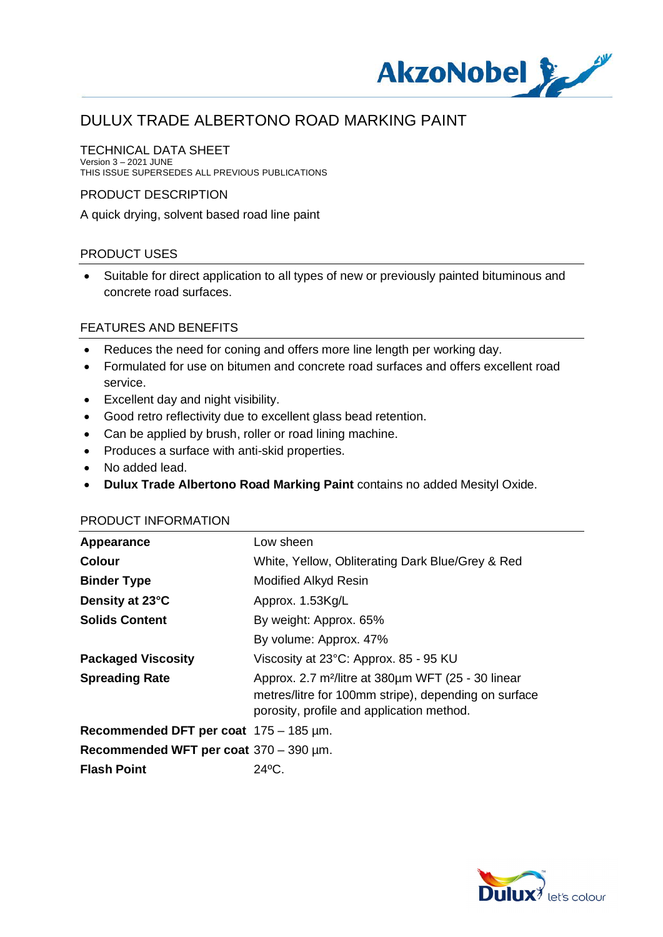

#### TECHNICAL DATA SHEET

Version 3 – 2021 JUNE THIS ISSUE SUPERSEDES ALL PREVIOUS PUBLICATIONS

#### PRODUCT DESCRIPTION

A quick drying, solvent based road line paint

### PRODUCT USES

· Suitable for direct application to all types of new or previously painted bituminous and concrete road surfaces.

#### FEATURES AND BENEFITS

- · Reduces the need for coning and offers more line length per working day.
- · Formulated for use on bitumen and concrete road surfaces and offers excellent road service.
- · Excellent day and night visibility.
- · Good retro reflectivity due to excellent glass bead retention.
- · Can be applied by brush, roller or road lining machine.
- · Produces a surface with anti-skid properties.
- No added lead.
- · **Dulux Trade Albertono Road Marking Paint** contains no added Mesityl Oxide.

# **Appearance** Low sheen **Colour** White, Yellow, Obliterating Dark Blue/Grey & Red **Binder Type** Modified Alkyd Resin **Density at 23°C** Approx. 1.53Kg/L **Solids Content** By weight: Approx. 65% By volume: Approx. 47% **Packaged Viscosity** Viscosity at 23°C: Approx. 85 - 95 KU **Spreading Rate** Approx. 2.7 m²/litre at 380µm WFT (25 - 30 linear metres/litre for 100mm stripe), depending on surface porosity, profile and application method. **Recommended DFT per coat** 175 – 185 µm. **Recommended WFT per coat** 370 – 390 µm. **Flash Point** 24ºC.

#### PRODUCT INFORMATION

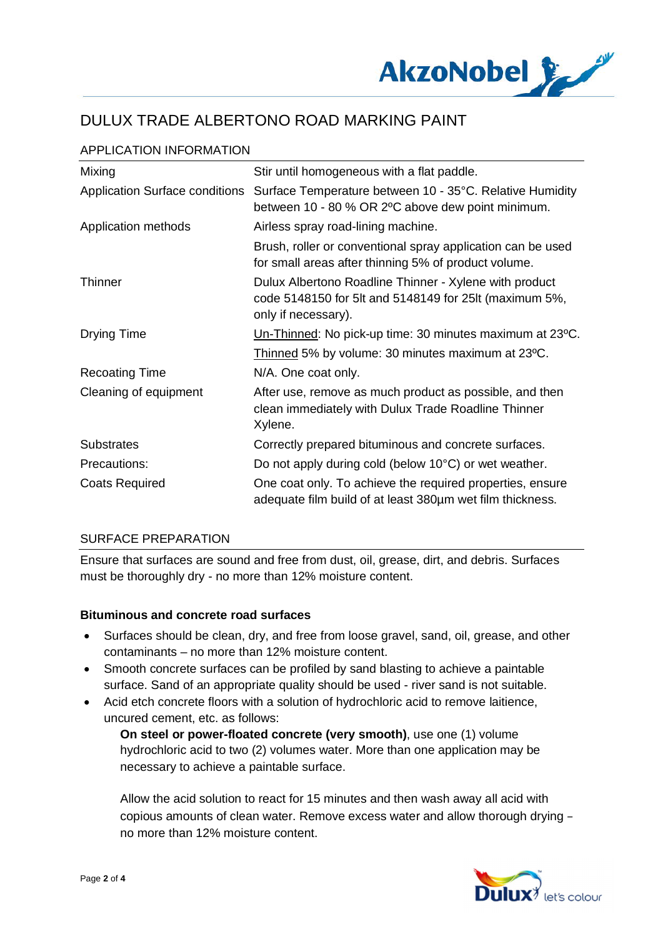

| APPLICATION INFORMATION |  |
|-------------------------|--|
|                         |  |

| Mixing                                | Stir until homogeneous with a flat paddle.                                                                                              |
|---------------------------------------|-----------------------------------------------------------------------------------------------------------------------------------------|
| <b>Application Surface conditions</b> | Surface Temperature between 10 - 35°C. Relative Humidity<br>between 10 - 80 % OR 2°C above dew point minimum.                           |
| Application methods                   | Airless spray road-lining machine.                                                                                                      |
|                                       | Brush, roller or conventional spray application can be used<br>for small areas after thinning 5% of product volume.                     |
| <b>Thinner</b>                        | Dulux Albertono Roadline Thinner - Xylene with product<br>code 5148150 for 5lt and 5148149 for 25lt (maximum 5%,<br>only if necessary). |
| Drying Time                           | Un-Thinned: No pick-up time: 30 minutes maximum at 23°C.                                                                                |
|                                       | Thinned 5% by volume: 30 minutes maximum at 23 °C.                                                                                      |
| <b>Recoating Time</b>                 | N/A. One coat only.                                                                                                                     |
| Cleaning of equipment                 | After use, remove as much product as possible, and then<br>clean immediately with Dulux Trade Roadline Thinner<br>Xylene.               |
| <b>Substrates</b>                     | Correctly prepared bituminous and concrete surfaces.                                                                                    |
| Precautions:                          | Do not apply during cold (below 10°C) or wet weather.                                                                                   |
| <b>Coats Required</b>                 | One coat only. To achieve the required properties, ensure<br>adequate film build of at least 380um wet film thickness.                  |

#### SURFACE PREPARATION

Ensure that surfaces are sound and free from dust, oil, grease, dirt, and debris. Surfaces must be thoroughly dry - no more than 12% moisture content.

#### **Bituminous and concrete road surfaces**

- · Surfaces should be clean, dry, and free from loose gravel, sand, oil, grease, and other contaminants – no more than 12% moisture content.
- · Smooth concrete surfaces can be profiled by sand blasting to achieve a paintable surface. Sand of an appropriate quality should be used - river sand is not suitable.
- · Acid etch concrete floors with a solution of hydrochloric acid to remove laitience, uncured cement, etc. as follows:

**On steel or power-floated concrete (very smooth)**, use one (1) volume hydrochloric acid to two (2) volumes water. More than one application may be necessary to achieve a paintable surface.

Allow the acid solution to react for 15 minutes and then wash away all acid with copious amounts of clean water. Remove excess water and allow thorough drying – no more than 12% moisture content.

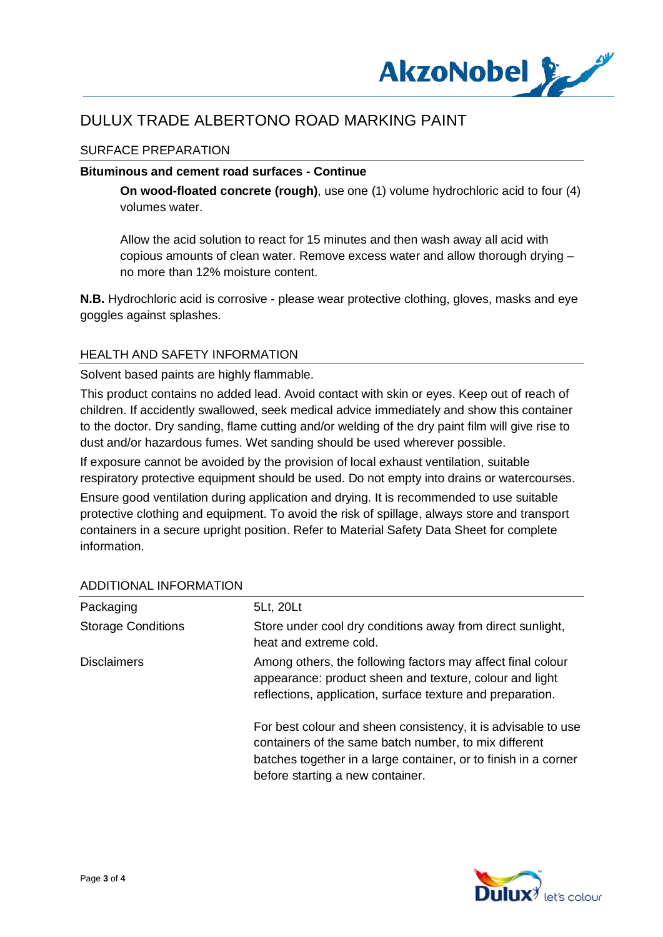

### SURFACE PREPARATION

#### **Bituminous and cement road surfaces - Continue**

**On wood-floated concrete (rough)**, use one (1) volume hydrochloric acid to four (4) volumes water.

Allow the acid solution to react for 15 minutes and then wash away all acid with copious amounts of clean water. Remove excess water and allow thorough drying – no more than 12% moisture content.

**N.B.** Hydrochloric acid is corrosive - please wear protective clothing, gloves, masks and eye goggles against splashes.

#### HEALTH AND SAFETY INFORMATION

Solvent based paints are highly flammable.

This product contains no added lead. Avoid contact with skin or eyes. Keep out of reach of children. If accidently swallowed, seek medical advice immediately and show this container to the doctor. Dry sanding, flame cutting and/or welding of the dry paint film will give rise to dust and/or hazardous fumes. Wet sanding should be used wherever possible.

If exposure cannot be avoided by the provision of local exhaust ventilation, suitable respiratory protective equipment should be used. Do not empty into drains or watercourses.

Ensure good ventilation during application and drying. It is recommended to use suitable protective clothing and equipment. To avoid the risk of spillage, always store and transport containers in a secure upright position. Refer to Material Safety Data Sheet for complete information.

| Packaging                 | 5Lt, 20Lt                                                                                                                                                                                                                     |
|---------------------------|-------------------------------------------------------------------------------------------------------------------------------------------------------------------------------------------------------------------------------|
| <b>Storage Conditions</b> | Store under cool dry conditions away from direct sunlight,<br>heat and extreme cold.                                                                                                                                          |
| <b>Disclaimers</b>        | Among others, the following factors may affect final colour<br>appearance: product sheen and texture, colour and light<br>reflections, application, surface texture and preparation.                                          |
|                           | For best colour and sheen consistency, it is advisable to use<br>containers of the same batch number, to mix different<br>batches together in a large container, or to finish in a corner<br>before starting a new container. |

#### ADDITIONAL INFORMATION